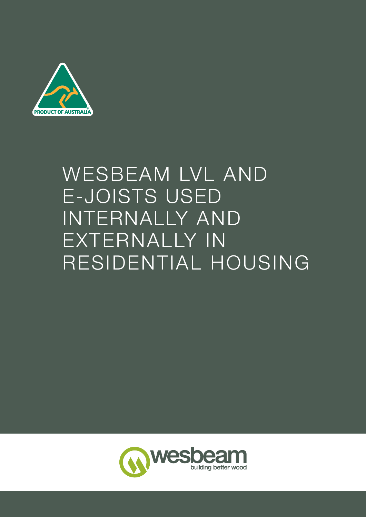

# WESBEAM LVL AND E-JOISTS USED INTERNALLY AND EXTERNALLY IN RESIDENTIAL HOUSING

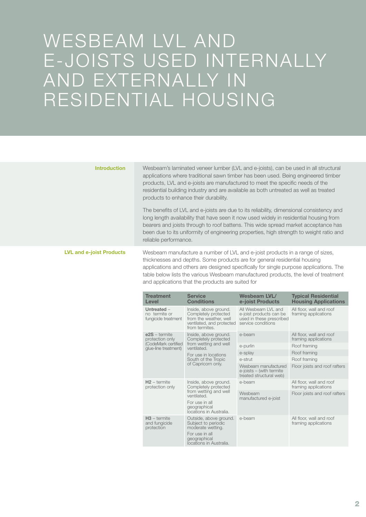## WESBEAM LVL AND E-JOISTS USED INTERNALLY AND EXTERNALLY IN RESIDENTIAL HOUSING

| <b>Introduction</b>             | Wesbeam's laminated veneer lumber (LVL and e-joists), can be used in all structural<br>applications where traditional sawn timber has been used. Being engineered timber<br>products, LVL and e-joists are manufactured to meet the specific needs of the<br>residential building industry and are available as both untreated as well as treated<br>products to enhance their durability.       |                                                                                                                                 |                                                                                                  |                                                  |
|---------------------------------|--------------------------------------------------------------------------------------------------------------------------------------------------------------------------------------------------------------------------------------------------------------------------------------------------------------------------------------------------------------------------------------------------|---------------------------------------------------------------------------------------------------------------------------------|--------------------------------------------------------------------------------------------------|--------------------------------------------------|
|                                 | The benefits of LVL and e-joists are due to its reliability, dimensional consistency and<br>long length availability that have seen it now used widely in residential housing from<br>bearers and joists through to roof battens. This wide spread market acceptance has<br>been due to its uniformity of engineering properties, high strength to weight ratio and<br>reliable performance.     |                                                                                                                                 |                                                                                                  |                                                  |
| <b>LVL and e-joist Products</b> | Wesbeam manufacture a number of LVL and e-joist products in a range of sizes,<br>thicknesses and depths. Some products are for general residential housing<br>applications and others are designed specifically for single purpose applications. The<br>table below lists the various Wesbeam manufactured products, the level of treatment<br>and applications that the products are suited for |                                                                                                                                 |                                                                                                  |                                                  |
|                                 | <b>Treatment</b><br>Level                                                                                                                                                                                                                                                                                                                                                                        | <b>Service</b><br><b>Conditions</b>                                                                                             | <b>Wesbeam LVL/</b>                                                                              | <b>Typical Residential</b>                       |
|                                 |                                                                                                                                                                                                                                                                                                                                                                                                  |                                                                                                                                 | e-joist Products                                                                                 | <b>Housing Applications</b>                      |
|                                 | Untreated -<br>no termite or<br>fungicide treatment                                                                                                                                                                                                                                                                                                                                              | Inside, above ground.<br>Completely protected<br>from the weather, well<br>ventilated, and protected<br>from termites.          | All Wesbeam LVL and<br>e-joist products can be<br>used in these prescribed<br>service conditions | All floor, wall and roof<br>framing applications |
|                                 | $e2S - termite$<br>protection only                                                                                                                                                                                                                                                                                                                                                               | Inside, above ground.<br>Completely protected                                                                                   | e-beam                                                                                           | All floor, wall and roof<br>framing applications |
|                                 | (CodeMark certified                                                                                                                                                                                                                                                                                                                                                                              | from wetting and well                                                                                                           | e-purlin                                                                                         | Roof framing                                     |
|                                 | glue-line treatment)                                                                                                                                                                                                                                                                                                                                                                             | ventilated.                                                                                                                     | e-splay                                                                                          | Roof framing                                     |
|                                 |                                                                                                                                                                                                                                                                                                                                                                                                  | For use in locations<br>South of the Tropic                                                                                     | e-strut                                                                                          | Roof framing                                     |
|                                 |                                                                                                                                                                                                                                                                                                                                                                                                  | of Capricorn only.                                                                                                              | Wesbeam manufactured<br>$e$ -joists $-$ (with termite<br>treated structural web)                 | Floor joists and roof rafters                    |
|                                 | $H2 -$ termite<br>protection only                                                                                                                                                                                                                                                                                                                                                                | Inside, above ground.<br>Completely protected                                                                                   | e-beam                                                                                           | All floor, wall and roof<br>framing applications |
|                                 |                                                                                                                                                                                                                                                                                                                                                                                                  | from wetting and well<br>ventilated.<br>For use in all<br>geographical<br>locations in Australia.                               | Wesbeam<br>manufactured e-joist                                                                  | Floor joists and roof rafters                    |
|                                 | $H3$ – termite<br>and fungicide<br>protection                                                                                                                                                                                                                                                                                                                                                    | Outside, above ground.<br>Subject to periodic<br>moderate wetting.<br>For use in all<br>geographical<br>locations in Australia. | e-beam                                                                                           | All floor, wall and roof<br>framing applications |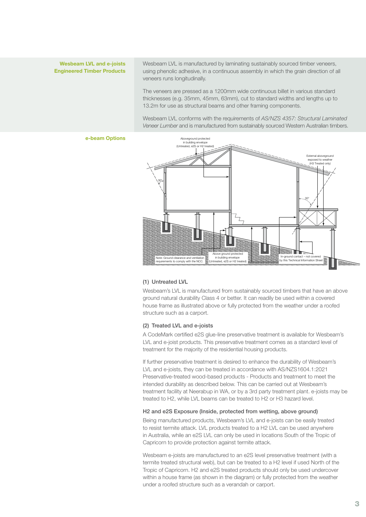#### Wesbeam LVL and e-joists Engineered Timber Products

Wesbeam LVL is manufactured by laminating sustainably sourced timber veneers, using phenolic adhesive, in a continuous assembly in which the grain direction of all veneers runs longitudinally.

The veneers are pressed as a 1200mm wide continuous billet in various standard thicknesses (e.g. 35mm, 45mm, 63mm), cut to standard widths and lengths up to 13.2m for use as structural beams and other framing components.

Wesbeam LVL conforms with the requirements of *AS/NZS 4357: Structural Laminated Veneer Lumber* and is manufactured from sustainably sourced Western Australian timbers.

#### e-beam Options



#### (1) Untreated LVL

Wesbeam's LVL is manufactured from sustainably sourced timbers that have an above ground natural durability Class 4 or better. It can readily be used within a covered house frame as illustrated above or fully protected from the weather under a roofed structure such as a carport.

#### (2) Treated LVL and e-joists

A CodeMark certified e2S glue-line preservative treatment is available for Wesbeam's LVL and e-joist products. This preservative treatment comes as a standard level of treatment for the majority of the residential housing products.

If further preservative treatment is desired to enhance the durability of Wesbeam's LVL and e-joists, they can be treated in accordance with AS/NZS1604.1:2021 Preservative-treated wood-based products - Products and treatment to meet the intended durability as described below. This can be carried out at Wesbeam's treatment facility at Neerabup in WA, or by a 3rd party treatment plant. e-joists may be treated to H2, while LVL beams can be treated to H2 or H3 hazard level.

#### H2 and e2S Exposure (Inside, protected from wetting, above ground)

Being manufactured products, Wesbeam's LVL and e-joists can be easily treated to resist termite attack. LVL products treated to a H2 LVL can be used anywhere in Australia, while an e2S LVL can only be used in locations South of the Tropic of Capricorn to provide protection against termite attack.

Wesbeam e-joists are manufactured to an e2S level preservative treatment (with a termite treated structural web), but can be treated to a H2 level if used North of the Tropic of Capricorn. H2 and e2S treated products should only be used undercover within a house frame (as shown in the diagram) or fully protected from the weather under a roofed structure such as a verandah or carport.